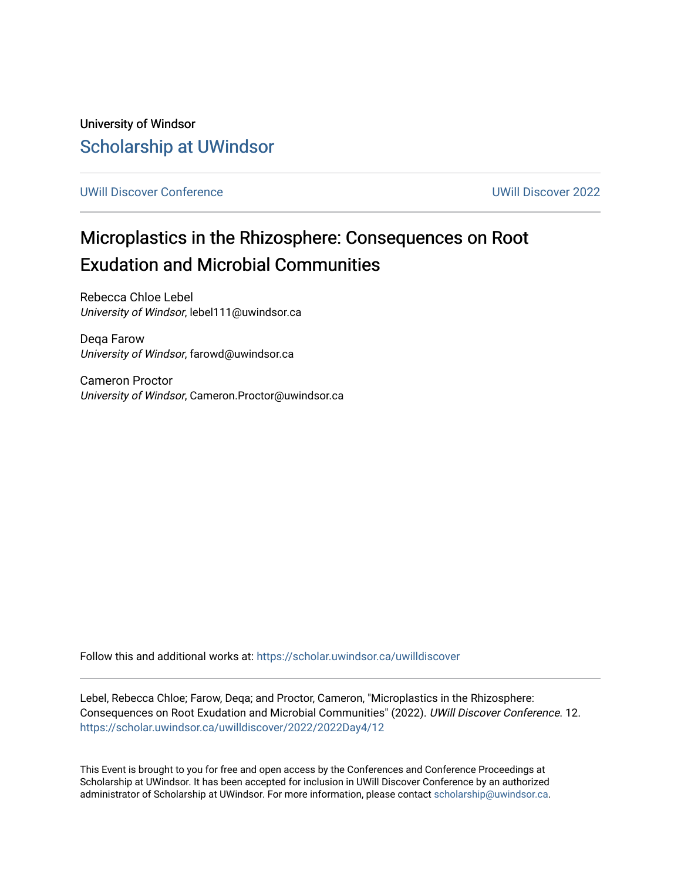University of Windsor [Scholarship at UWindsor](https://scholar.uwindsor.ca/) 

[UWill Discover Conference](https://scholar.uwindsor.ca/uwilldiscover) [UWill Discover 2022](https://scholar.uwindsor.ca/uwilldiscover/2022) 

#### Microplastics in the Rhizosphere: Consequences on Root Exudation and Microbial Communities

Rebecca Chloe Lebel University of Windsor, lebel111@uwindsor.ca

Deqa Farow University of Windsor, farowd@uwindsor.ca

Cameron Proctor University of Windsor, Cameron.Proctor@uwindsor.ca

Follow this and additional works at: [https://scholar.uwindsor.ca/uwilldiscover](https://scholar.uwindsor.ca/uwilldiscover?utm_source=scholar.uwindsor.ca%2Fuwilldiscover%2F2022%2F2022Day4%2F12&utm_medium=PDF&utm_campaign=PDFCoverPages) 

Lebel, Rebecca Chloe; Farow, Deqa; and Proctor, Cameron, "Microplastics in the Rhizosphere: Consequences on Root Exudation and Microbial Communities" (2022). UWill Discover Conference. 12. [https://scholar.uwindsor.ca/uwilldiscover/2022/2022Day4/12](https://scholar.uwindsor.ca/uwilldiscover/2022/2022Day4/12?utm_source=scholar.uwindsor.ca%2Fuwilldiscover%2F2022%2F2022Day4%2F12&utm_medium=PDF&utm_campaign=PDFCoverPages) 

This Event is brought to you for free and open access by the Conferences and Conference Proceedings at Scholarship at UWindsor. It has been accepted for inclusion in UWill Discover Conference by an authorized administrator of Scholarship at UWindsor. For more information, please contact [scholarship@uwindsor.ca](mailto:scholarship@uwindsor.ca).